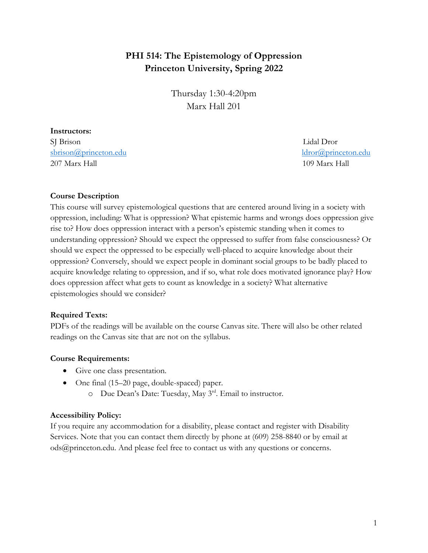# **PHI 514: The Epistemology of Oppression Princeton University, Spring 2022**

Thursday 1:30-4:20pm Marx Hall 201

#### **Instructors:**

SJ Brison Lidal Dror sbrison@princeton.edu ldror@princeton.edu 207 Marx Hall 109 Marx Hall

### **Course Description**

This course will survey epistemological questions that are centered around living in a society with oppression, including: What is oppression? What epistemic harms and wrongs does oppression give rise to? How does oppression interact with a person's epistemic standing when it comes to understanding oppression? Should we expect the oppressed to suffer from false consciousness? Or should we expect the oppressed to be especially well-placed to acquire knowledge about their oppression? Conversely, should we expect people in dominant social groups to be badly placed to acquire knowledge relating to oppression, and if so, what role does motivated ignorance play? How does oppression affect what gets to count as knowledge in a society? What alternative epistemologies should we consider?

### **Required Texts:**

PDFs of the readings will be available on the course Canvas site. There will also be other related readings on the Canvas site that are not on the syllabus.

#### **Course Requirements:**

- Give one class presentation.
- One final (15–20 page, double-spaced) paper.
	- o Due Dean's Date: Tuesday, May 3rd. Email to instructor.

#### **Accessibility Policy:**

If you require any accommodation for a disability, please contact and register with Disability Services. Note that you can contact them directly by phone at (609) 258-8840 or by email at ods@princeton.edu. And please feel free to contact us with any questions or concerns.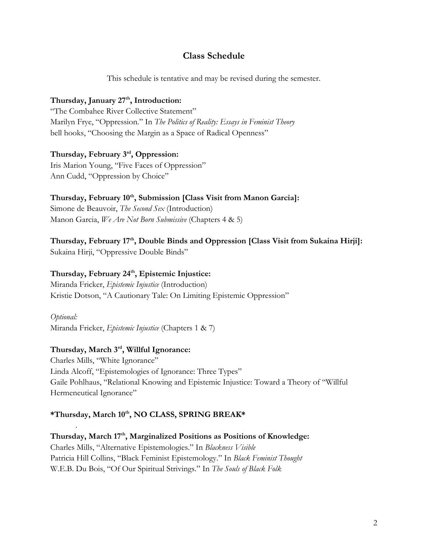# **Class Schedule**

This schedule is tentative and may be revised during the semester.

### Thursday, January 27<sup>th</sup>, Introduction:

"The Combahee River Collective Statement" Marilyn Frye, "Oppression." In *The Politics of Reality: Essays in Feminist Theory* bell hooks, "Choosing the Margin as a Space of Radical Openness"

# **Thursday, February 3rd, Oppression:**

Iris Marion Young, "Five Faces of Oppression" Ann Cudd, "Oppression by Choice"

# Thursday, February 10<sup>th</sup>, Submission [Class Visit from Manon Garcia]:

Simone de Beauvoir, *The Second Sex* (Introduction) Manon Garcia, *We Are Not Born Submissive* (Chapters 4 & 5)

# **Thursday, February 17th, Double Binds and Oppression [Class Visit from Sukaina Hirji]:**

Sukaina Hirji, "Oppressive Double Binds"

## Thursday, February 24<sup>th</sup>, Epistemic Injustice:

Miranda Fricker, *Epistemic Injustice* (Introduction) Kristie Dotson, "A Cautionary Tale: On Limiting Epistemic Oppression"

*Optional:* Miranda Fricker, *Epistemic Injustice* (Chapters 1 & 7)

### **Thursday, March 3rd, Willful Ignorance:**

.

Charles Mills, "White Ignorance" Linda Alcoff, "Epistemologies of Ignorance: Three Types" Gaile Pohlhaus, "Relational Knowing and Epistemic Injustice: Toward a Theory of "Willful Hermeneutical Ignorance"

### **\*Thursday, March 10th, NO CLASS, SPRING BREAK\***

Thursday, March 17<sup>th</sup>, Marginalized Positions as Positions of Knowledge: Charles Mills, "Alternative Epistemologies." In *Blackness Visible*  Patricia Hill Collins, "Black Feminist Epistemology." In *Black Feminist Thought* W.E.B. Du Bois, "Of Our Spiritual Strivings." In *The Souls of Black Folk*